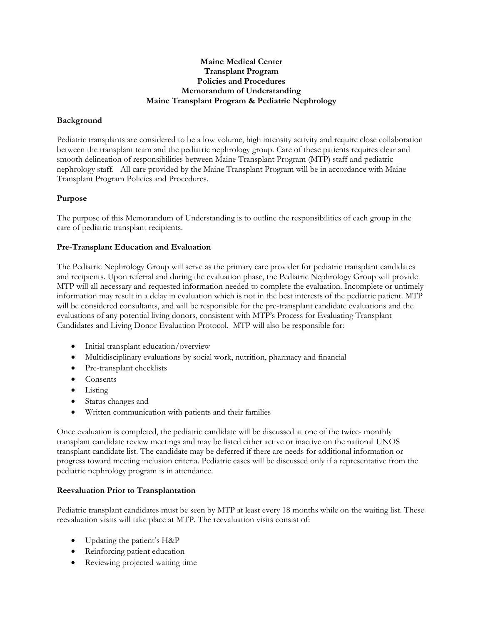# **Maine Medical Center Transplant Program Policies and Procedures Memorandum of Understanding Maine Transplant Program & Pediatric Nephrology**

# **Background**

Pediatric transplants are considered to be a low volume, high intensity activity and require close collaboration between the transplant team and the pediatric nephrology group. Care of these patients requires clear and smooth delineation of responsibilities between Maine Transplant Program (MTP) staff and pediatric nephrology staff. All care provided by the Maine Transplant Program will be in accordance with Maine Transplant Program Policies and Procedures.

# **Purpose**

The purpose of this Memorandum of Understanding is to outline the responsibilities of each group in the care of pediatric transplant recipients.

### **Pre-Transplant Education and Evaluation**

The Pediatric Nephrology Group will serve as the primary care provider for pediatric transplant candidates and recipients. Upon referral and during the evaluation phase, the Pediatric Nephrology Group will provide MTP will all necessary and requested information needed to complete the evaluation. Incomplete or untimely information may result in a delay in evaluation which is not in the best interests of the pediatric patient. MTP will be considered consultants, and will be responsible for the pre-transplant candidate evaluations and the evaluations of any potential living donors, consistent with MTP's Process for Evaluating Transplant Candidates and Living Donor Evaluation Protocol. MTP will also be responsible for:

- Initial transplant education/overview
- Multidisciplinary evaluations by social work, nutrition, pharmacy and financial
- Pre-transplant checklists
- Consents
- Listing
- Status changes and
- Written communication with patients and their families

Once evaluation is completed, the pediatric candidate will be discussed at one of the twice- monthly transplant candidate review meetings and may be listed either active or inactive on the national UNOS transplant candidate list. The candidate may be deferred if there are needs for additional information or progress toward meeting inclusion criteria. Pediatric cases will be discussed only if a representative from the pediatric nephrology program is in attendance.

### **Reevaluation Prior to Transplantation**

Pediatric transplant candidates must be seen by MTP at least every 18 months while on the waiting list. These reevaluation visits will take place at MTP. The reevaluation visits consist of:

- Updating the patient's H&P
- Reinforcing patient education
- Reviewing projected waiting time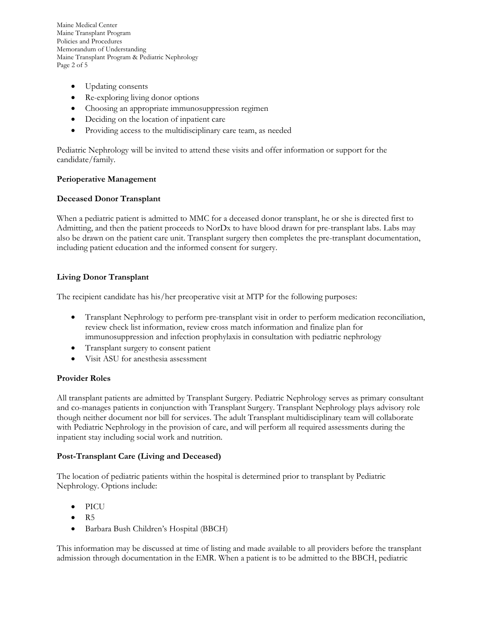Maine Medical Center Maine Transplant Program Policies and Procedures Memorandum of Understanding Maine Transplant Program & Pediatric Nephrology Page 2 of 5

- Updating consents
- Re-exploring living donor options
- Choosing an appropriate immunosuppression regimen
- Deciding on the location of inpatient care
- Providing access to the multidisciplinary care team, as needed

Pediatric Nephrology will be invited to attend these visits and offer information or support for the candidate/family.

### **Perioperative Management**

### **Deceased Donor Transplant**

When a pediatric patient is admitted to MMC for a deceased donor transplant, he or she is directed first to Admitting, and then the patient proceeds to NorDx to have blood drawn for pre-transplant labs. Labs may also be drawn on the patient care unit. Transplant surgery then completes the pre-transplant documentation, including patient education and the informed consent for surgery.

### **Living Donor Transplant**

The recipient candidate has his/her preoperative visit at MTP for the following purposes:

- Transplant Nephrology to perform pre-transplant visit in order to perform medication reconciliation, review check list information, review cross match information and finalize plan for immunosuppression and infection prophylaxis in consultation with pediatric nephrology
- Transplant surgery to consent patient
- Visit ASU for anesthesia assessment

### **Provider Roles**

All transplant patients are admitted by Transplant Surgery. Pediatric Nephrology serves as primary consultant and co-manages patients in conjunction with Transplant Surgery. Transplant Nephrology plays advisory role though neither document nor bill for services. The adult Transplant multidisciplinary team will collaborate with Pediatric Nephrology in the provision of care, and will perform all required assessments during the inpatient stay including social work and nutrition.

### **Post-Transplant Care (Living and Deceased)**

The location of pediatric patients within the hospital is determined prior to transplant by Pediatric Nephrology. Options include:

- **PICU**
- R5
- Barbara Bush Children's Hospital (BBCH)

This information may be discussed at time of listing and made available to all providers before the transplant admission through documentation in the EMR. When a patient is to be admitted to the BBCH, pediatric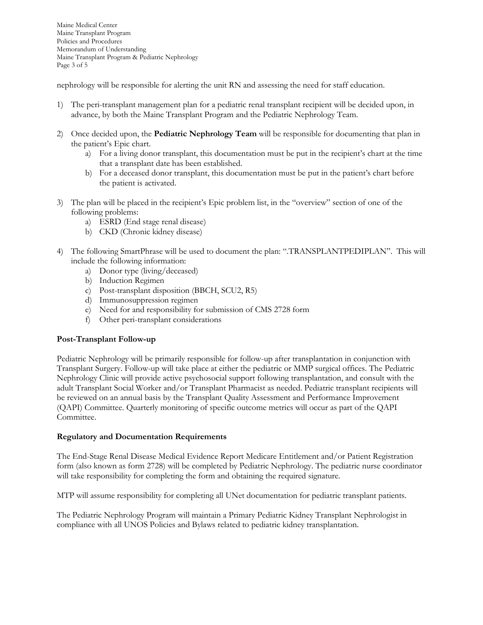Maine Medical Center Maine Transplant Program Policies and Procedures Memorandum of Understanding Maine Transplant Program & Pediatric Nephrology Page 3 of 5

nephrology will be responsible for alerting the unit RN and assessing the need for staff education.

- 1) The peri-transplant management plan for a pediatric renal transplant recipient will be decided upon, in advance, by both the Maine Transplant Program and the Pediatric Nephrology Team.
- 2) Once decided upon, the **Pediatric Nephrology Team** will be responsible for documenting that plan in the patient's Epic chart.
	- a) For a living donor transplant, this documentation must be put in the recipient's chart at the time that a transplant date has been established.
	- b) For a deceased donor transplant, this documentation must be put in the patient's chart before the patient is activated.
- 3) The plan will be placed in the recipient's Epic problem list, in the "overview" section of one of the following problems:
	- a) ESRD (End stage renal disease)
	- b) CKD (Chronic kidney disease)
- 4) The following SmartPhrase will be used to document the plan: ".TRANSPLANTPEDIPLAN". This will include the following information:
	- a) Donor type (living/deceased)
	- b) Induction Regimen
	- c) Post-transplant disposition (BBCH, SCU2, R5)
	- d) Immunosuppression regimen
	- e) Need for and responsibility for submission of CMS 2728 form
	- f) Other peri-transplant considerations

### **Post-Transplant Follow-up**

Pediatric Nephrology will be primarily responsible for follow-up after transplantation in conjunction with Transplant Surgery. Follow-up will take place at either the pediatric or MMP surgical offices. The Pediatric Nephrology Clinic will provide active psychosocial support following transplantation, and consult with the adult Transplant Social Worker and/or Transplant Pharmacist as needed. Pediatric transplant recipients will be reviewed on an annual basis by the Transplant Quality Assessment and Performance Improvement (QAPI) Committee. Quarterly monitoring of specific outcome metrics will occur as part of the QAPI Committee.

### **Regulatory and Documentation Requirements**

The End-Stage Renal Disease Medical Evidence Report Medicare Entitlement and/or Patient Registration form (also known as form 2728) will be completed by Pediatric Nephrology. The pediatric nurse coordinator will take responsibility for completing the form and obtaining the required signature.

MTP will assume responsibility for completing all UNet documentation for pediatric transplant patients.

The Pediatric Nephrology Program will maintain a Primary Pediatric Kidney Transplant Nephrologist in compliance with all UNOS Policies and Bylaws related to pediatric kidney transplantation.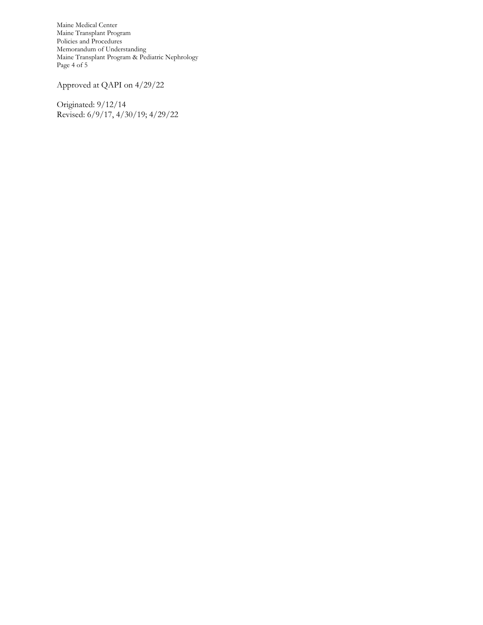Maine Medical Center Maine Transplant Program Policies and Procedures Memorandum of Understanding Maine Transplant Program & Pediatric Nephrology Page 4 of 5

Approved at QAPI on 4/29/22

Originated: 9/12/14 Revised: 6/9/17, 4/30/19; 4/29/22